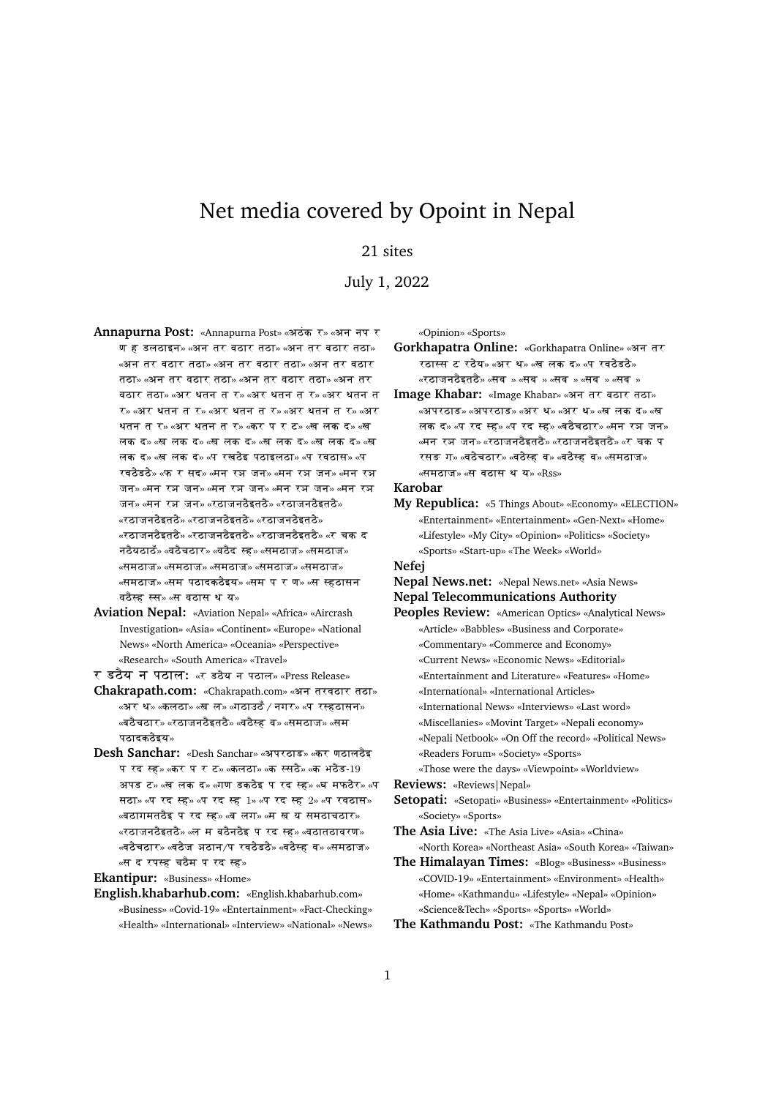## Net media covered by Opoint in Nepal

## 21 sites

July 1, 2022

- Annapurna Post: «Annapurna Post» «अठंक र» «अन नप र ण ह डलठाइन» «अन तर वठार तठा» «अन तर वठार तठा» «अन तर वठार तठा» «अन तर वठार तठा» «अन तर वठार तठा» «अन तर वठार तठा» «अन तर वठार तठा» «अन तर वठार तठा» «अर थतन त र» «अर थतन त र» «अर थतन त  $\tau$ » «अर थतन त र» «अर थतन त र» «अर थतन त र» «अर थतन त र» «अर थतन त र» «कर प र ट» «ख लक द» «ख लक द» «ख लक द» «ख लक द» «ख लक द» «ख लक द» «ख लक द» «ख लक द» «प रखठैइ पठाइलठा» «प रवठास» «प रवठैडठै» «फ र सद» «मन रज जन» «मन रज जन» «मन रज जन» «मन रुञ जन» «मन रुञ जन» «मन रुञ जन» «मन रुञ जन» «मन रञ $\pi$  जन» «रठाजनठैइतठै» «रठाजनठैइतठै»  $\ast$ रठाजनठैइतठै»  $\ast$ रठाजनठैइतठै»  $\ast$ रठाजनठैइतठै»  $\;$ «रठाजनठैइतठै» «रठाजनठैइतठै» «रठाजनठैइतठै» «र $\;$  चक $\;$  द नठैयठाठँ» «वठैचठार» «वठैद स्ह» «समठाज» «समठाज» «समठाज» «समठाज» «समठाज» «समठाज» «समठाज» «समठाज» «सम पठादकठैइय» «सम प र ण» «स स्हठासन वठैस्ट्र स्स» «स वठास थ य»
- **Aviation Nepal:** «Aviation Nepal» «Africa» «Aircrash Investigation» «Asia» «Continent» «Europe» «National News» «North America» «Oceania» «Perspective» «Research» «South America» «Travel»
- र डठैय न पठाल: «र डठैय न पठाल» «Press Release»
- Chakrapath.com: «Chakrapath.com» «अन तरवठार तठा» «अर थ» «कलठा» «ख ल» «गठाउठँ / नगर» «प रस्हठासन» «बठैचठार» «रठाजनठैइतठै» «वठैस्ह व» «समठाज» «सम पटादकठैइय»
- **Desh Sanchar:** «Desh Sanchar» «अपरठाड» «कर णठालठेइ प रद स्ह» «कर प र ट» «कलठा» «क स्सठै» «क भठैड-19 अपड ट» «ख लक द» «गण डकठैइ प रद स्ह» «घ मफठैर» «प सठा» «प रद स्ह» «प रद स्ह $1$ » «प रद स्ह $2$ » «प रवठास» «बठागमतठैइ प रद स्ह» «ब लग» «म ख य समठाचठार» «rWAjnW{itW{» «l m bW{nW{i p rd -h» «vWAtWAvrZ» «वठैचठार» «वठैज अठान/प रवठैडठै» «वठैस्ह व» «समठाज» «स द रपस्ह चठैम प रद स्ह»

**Ekantipur:** «Business» «Home»

**English.khabarhub.com:** «English.khabarhub.com» «Business» «Covid-19» «Entertainment» «Fact-Checking» «Health» «International» «Interview» «National» «News» «Opinion» «Sports»

Gorkhapatra Online: «Gorkhapatra Online» «अन तर रठास्स ट रठैय» «अर थ» «ख लक द» «प रवठैडठै» «रठाजनठैइतठै» «सब $\,$ » «सब $\,$ » «सब $\,$ » «सब $\,$ » «सब $\,$ »

Image Khabar: «Image Khabar» «अन तर वठार तठा» «अपरठाड» «अपरठाड» «अर थ» «अर थ» «ख लक द» «ख लक द» «प रद स्ह» «प रद स्ह» «बठैचठार» «मन रञ जन» «मन रञ जन» «रठाजनठैइतठै» «रठाजनठैइतठै» «र चक प रसङ ग» «वठैचठार» «वठैस्ह व» «वठैस्ह व» «समठाज» «समठाज» «स वठास थ य» «Rss»

**Karobar**

**My Republica:** «5 Things About» «Economy» «ELECTION» «Entertainment» «Entertainment» «Gen-Next» «Home» «Lifestyle» «My City» «Opinion» «Politics» «Society» «Sports» «Start-up» «The Week» «World»

**Nefej**

**Nepal News.net:** «Nepal News.net» «Asia News» **Nepal Telecommunications Authority**

- **Peoples Review:** «American Optics» «Analytical News» «Article» «Babbles» «Business and Corporate» «Commentary» «Commerce and Economy» «Current News» «Economic News» «Editorial» «Entertainment and Literature» «Features» «Home» «International» «International Articles» «International News» «Interviews» «Last word» «Miscellanies» «Movint Target» «Nepali economy» «Nepali Netbook» «On Off the record» «Political News» «Readers Forum» «Society» «Sports» «Those were the days» «Viewpoint» «Worldview» **Reviews:** «Reviews|Nepal» **Setopati:** «Setopati» «Business» «Entertainment» «Politics» «Society» «Sports» **The Asia Live:** «The Asia Live» «Asia» «China» «North Korea» «Northeast Asia» «South Korea» «Taiwan» **The Himalayan Times:** «Blog» «Business» «Business» «COVID-19» «Entertainment» «Environment» «Health»
- «Home» «Kathmandu» «Lifestyle» «Nepal» «Opinion» «Science&Tech» «Sports» «Sports» «World»

**The Kathmandu Post:** «The Kathmandu Post»